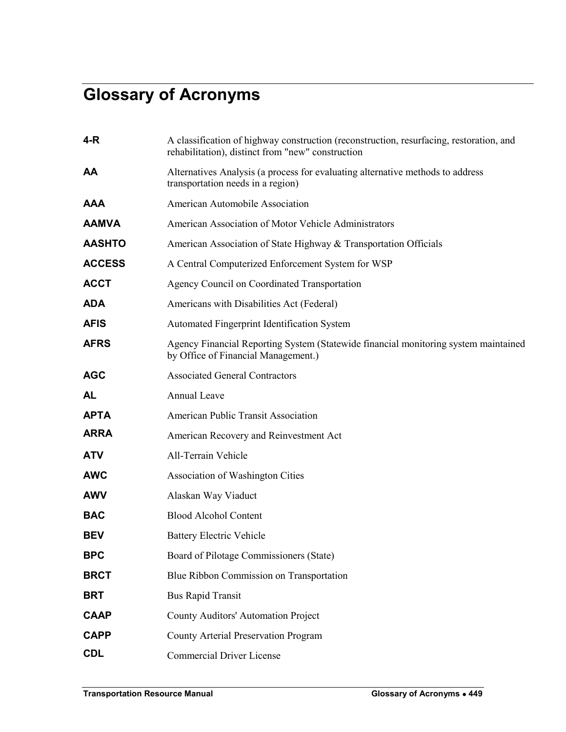## **Glossary of Acronyms**

| 4-R           | A classification of highway construction (reconstruction, resurfacing, restoration, and<br>rehabilitation), distinct from "new" construction |
|---------------|----------------------------------------------------------------------------------------------------------------------------------------------|
| AA            | Alternatives Analysis (a process for evaluating alternative methods to address<br>transportation needs in a region)                          |
| <b>AAA</b>    | American Automobile Association                                                                                                              |
| <b>AAMVA</b>  | American Association of Motor Vehicle Administrators                                                                                         |
| <b>AASHTO</b> | American Association of State Highway & Transportation Officials                                                                             |
| <b>ACCESS</b> | A Central Computerized Enforcement System for WSP                                                                                            |
| <b>ACCT</b>   | Agency Council on Coordinated Transportation                                                                                                 |
| <b>ADA</b>    | Americans with Disabilities Act (Federal)                                                                                                    |
| <b>AFIS</b>   | Automated Fingerprint Identification System                                                                                                  |
| <b>AFRS</b>   | Agency Financial Reporting System (Statewide financial monitoring system maintained<br>by Office of Financial Management.)                   |
| <b>AGC</b>    | <b>Associated General Contractors</b>                                                                                                        |
| <b>AL</b>     | Annual Leave                                                                                                                                 |
| <b>APTA</b>   | American Public Transit Association                                                                                                          |
| <b>ARRA</b>   | American Recovery and Reinvestment Act                                                                                                       |
| <b>ATV</b>    | All-Terrain Vehicle                                                                                                                          |
| <b>AWC</b>    | Association of Washington Cities                                                                                                             |
| <b>AWV</b>    | Alaskan Way Viaduct                                                                                                                          |
| <b>BAC</b>    | <b>Blood Alcohol Content</b>                                                                                                                 |
| <b>BEV</b>    | <b>Battery Electric Vehicle</b>                                                                                                              |
| <b>BPC</b>    | Board of Pilotage Commissioners (State)                                                                                                      |
| <b>BRCT</b>   | Blue Ribbon Commission on Transportation                                                                                                     |
| <b>BRT</b>    | <b>Bus Rapid Transit</b>                                                                                                                     |
| <b>CAAP</b>   | County Auditors' Automation Project                                                                                                          |
| <b>CAPP</b>   | County Arterial Preservation Program                                                                                                         |
| <b>CDL</b>    | <b>Commercial Driver License</b>                                                                                                             |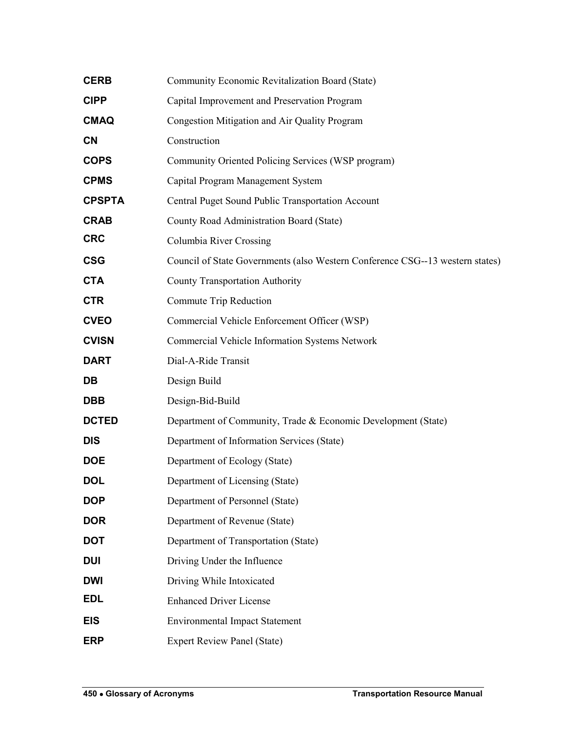| <b>CERB</b>   | Community Economic Revitalization Board (State)                               |
|---------------|-------------------------------------------------------------------------------|
| <b>CIPP</b>   | Capital Improvement and Preservation Program                                  |
| <b>CMAQ</b>   | Congestion Mitigation and Air Quality Program                                 |
| <b>CN</b>     | Construction                                                                  |
| <b>COPS</b>   | Community Oriented Policing Services (WSP program)                            |
| <b>CPMS</b>   | Capital Program Management System                                             |
| <b>CPSPTA</b> | Central Puget Sound Public Transportation Account                             |
| <b>CRAB</b>   | County Road Administration Board (State)                                      |
| <b>CRC</b>    | Columbia River Crossing                                                       |
| <b>CSG</b>    | Council of State Governments (also Western Conference CSG--13 western states) |
| <b>CTA</b>    | <b>County Transportation Authority</b>                                        |
| <b>CTR</b>    | Commute Trip Reduction                                                        |
| <b>CVEO</b>   | Commercial Vehicle Enforcement Officer (WSP)                                  |
| <b>CVISN</b>  | Commercial Vehicle Information Systems Network                                |
| <b>DART</b>   | Dial-A-Ride Transit                                                           |
| DB            | Design Build                                                                  |
| <b>DBB</b>    | Design-Bid-Build                                                              |
| <b>DCTED</b>  | Department of Community, Trade & Economic Development (State)                 |
| <b>DIS</b>    | Department of Information Services (State)                                    |
| <b>DOE</b>    | Department of Ecology (State)                                                 |
| <b>DOL</b>    | Department of Licensing (State)                                               |
| <b>DOP</b>    | Department of Personnel (State)                                               |
| <b>DOR</b>    | Department of Revenue (State)                                                 |
| <b>DOT</b>    | Department of Transportation (State)                                          |
| <b>DUI</b>    | Driving Under the Influence                                                   |
| <b>DWI</b>    | Driving While Intoxicated                                                     |
| <b>EDL</b>    | <b>Enhanced Driver License</b>                                                |
| <b>EIS</b>    | <b>Environmental Impact Statement</b>                                         |
| <b>ERP</b>    | <b>Expert Review Panel (State)</b>                                            |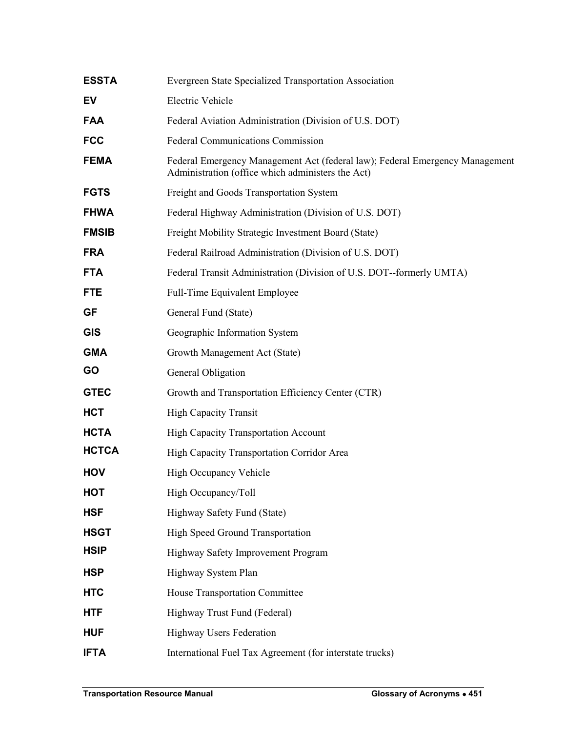| <b>ESSTA</b> | Evergreen State Specialized Transportation Association                                                                            |
|--------------|-----------------------------------------------------------------------------------------------------------------------------------|
| EV           | <b>Electric Vehicle</b>                                                                                                           |
| <b>FAA</b>   | Federal Aviation Administration (Division of U.S. DOT)                                                                            |
| <b>FCC</b>   | <b>Federal Communications Commission</b>                                                                                          |
| <b>FEMA</b>  | Federal Emergency Management Act (federal law); Federal Emergency Management<br>Administration (office which administers the Act) |
| <b>FGTS</b>  | Freight and Goods Transportation System                                                                                           |
| <b>FHWA</b>  | Federal Highway Administration (Division of U.S. DOT)                                                                             |
| <b>FMSIB</b> | Freight Mobility Strategic Investment Board (State)                                                                               |
| <b>FRA</b>   | Federal Railroad Administration (Division of U.S. DOT)                                                                            |
| <b>FTA</b>   | Federal Transit Administration (Division of U.S. DOT--formerly UMTA)                                                              |
| <b>FTE</b>   | Full-Time Equivalent Employee                                                                                                     |
| <b>GF</b>    | General Fund (State)                                                                                                              |
| <b>GIS</b>   | Geographic Information System                                                                                                     |
| <b>GMA</b>   | Growth Management Act (State)                                                                                                     |
| <b>GO</b>    | General Obligation                                                                                                                |
| <b>GTEC</b>  | Growth and Transportation Efficiency Center (CTR)                                                                                 |
| <b>HCT</b>   | <b>High Capacity Transit</b>                                                                                                      |
| <b>HCTA</b>  | <b>High Capacity Transportation Account</b>                                                                                       |
| <b>HCTCA</b> | High Capacity Transportation Corridor Area                                                                                        |
| <b>HOV</b>   | High Occupancy Vehicle                                                                                                            |
| <b>HOT</b>   | High Occupancy/Toll                                                                                                               |
| <b>HSF</b>   | Highway Safety Fund (State)                                                                                                       |
| <b>HSGT</b>  | <b>High Speed Ground Transportation</b>                                                                                           |
| <b>HSIP</b>  | Highway Safety Improvement Program                                                                                                |
| <b>HSP</b>   | Highway System Plan                                                                                                               |
| <b>HTC</b>   | House Transportation Committee                                                                                                    |
| <b>HTF</b>   | Highway Trust Fund (Federal)                                                                                                      |
| <b>HUF</b>   | <b>Highway Users Federation</b>                                                                                                   |
| <b>IFTA</b>  | International Fuel Tax Agreement (for interstate trucks)                                                                          |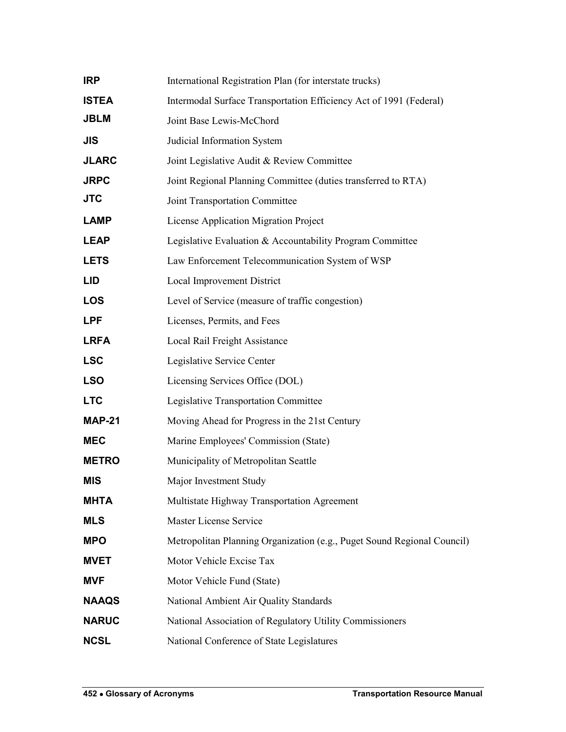| <b>IRP</b>    | International Registration Plan (for interstate trucks)                 |
|---------------|-------------------------------------------------------------------------|
| <b>ISTEA</b>  | Intermodal Surface Transportation Efficiency Act of 1991 (Federal)      |
| <b>JBLM</b>   | Joint Base Lewis-McChord                                                |
| JIS           | Judicial Information System                                             |
| <b>JLARC</b>  | Joint Legislative Audit & Review Committee                              |
| <b>JRPC</b>   | Joint Regional Planning Committee (duties transferred to RTA)           |
| <b>JTC</b>    | Joint Transportation Committee                                          |
| <b>LAMP</b>   | License Application Migration Project                                   |
| <b>LEAP</b>   | Legislative Evaluation & Accountability Program Committee               |
| <b>LETS</b>   | Law Enforcement Telecommunication System of WSP                         |
| LID           | Local Improvement District                                              |
| <b>LOS</b>    | Level of Service (measure of traffic congestion)                        |
| <b>LPF</b>    | Licenses, Permits, and Fees                                             |
| <b>LRFA</b>   | Local Rail Freight Assistance                                           |
| <b>LSC</b>    | Legislative Service Center                                              |
| <b>LSO</b>    | Licensing Services Office (DOL)                                         |
| <b>LTC</b>    | Legislative Transportation Committee                                    |
| <b>MAP-21</b> | Moving Ahead for Progress in the 21st Century                           |
| <b>MEC</b>    | Marine Employees' Commission (State)                                    |
| <b>METRO</b>  | Municipality of Metropolitan Seattle                                    |
| <b>MIS</b>    | Major Investment Study                                                  |
| <b>MHTA</b>   | Multistate Highway Transportation Agreement                             |
| <b>MLS</b>    | Master License Service                                                  |
| <b>MPO</b>    | Metropolitan Planning Organization (e.g., Puget Sound Regional Council) |
| <b>MVET</b>   | Motor Vehicle Excise Tax                                                |
| <b>MVF</b>    | Motor Vehicle Fund (State)                                              |
| <b>NAAQS</b>  | National Ambient Air Quality Standards                                  |
| <b>NARUC</b>  | National Association of Regulatory Utility Commissioners                |
| <b>NCSL</b>   | National Conference of State Legislatures                               |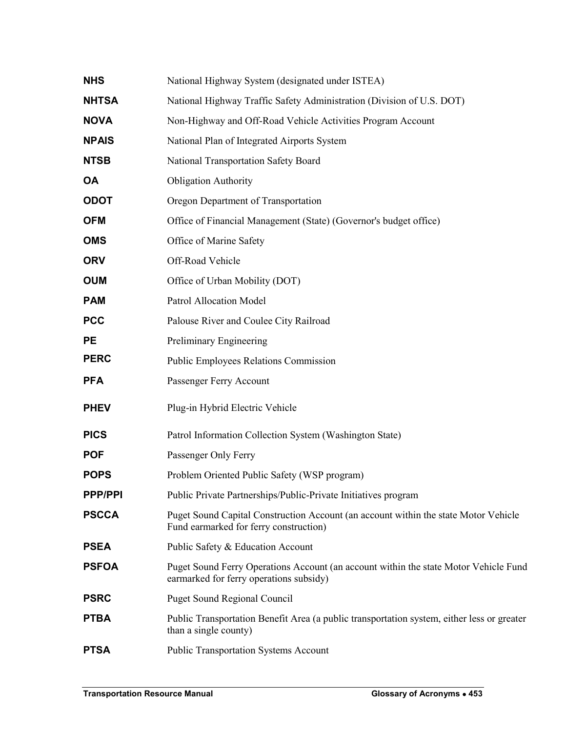| <b>NHS</b>     | National Highway System (designated under ISTEA)                                                                                |
|----------------|---------------------------------------------------------------------------------------------------------------------------------|
| <b>NHTSA</b>   | National Highway Traffic Safety Administration (Division of U.S. DOT)                                                           |
| <b>NOVA</b>    | Non-Highway and Off-Road Vehicle Activities Program Account                                                                     |
| <b>NPAIS</b>   | National Plan of Integrated Airports System                                                                                     |
| <b>NTSB</b>    | National Transportation Safety Board                                                                                            |
| <b>OA</b>      | <b>Obligation Authority</b>                                                                                                     |
| <b>ODOT</b>    | Oregon Department of Transportation                                                                                             |
| <b>OFM</b>     | Office of Financial Management (State) (Governor's budget office)                                                               |
| <b>OMS</b>     | Office of Marine Safety                                                                                                         |
| <b>ORV</b>     | Off-Road Vehicle                                                                                                                |
| <b>OUM</b>     | Office of Urban Mobility (DOT)                                                                                                  |
| <b>PAM</b>     | <b>Patrol Allocation Model</b>                                                                                                  |
| <b>PCC</b>     | Palouse River and Coulee City Railroad                                                                                          |
| <b>PE</b>      | Preliminary Engineering                                                                                                         |
| <b>PERC</b>    | <b>Public Employees Relations Commission</b>                                                                                    |
| <b>PFA</b>     | Passenger Ferry Account                                                                                                         |
| <b>PHEV</b>    | Plug-in Hybrid Electric Vehicle                                                                                                 |
| <b>PICS</b>    | Patrol Information Collection System (Washington State)                                                                         |
| <b>POF</b>     | Passenger Only Ferry                                                                                                            |
| <b>POPS</b>    | Problem Oriented Public Safety (WSP program)                                                                                    |
| <b>PPP/PPI</b> | Public Private Partnerships/Public-Private Initiatives program                                                                  |
| <b>PSCCA</b>   | Puget Sound Capital Construction Account (an account within the state Motor Vehicle<br>Fund earmarked for ferry construction)   |
| <b>PSEA</b>    | Public Safety & Education Account                                                                                               |
| <b>PSFOA</b>   | Puget Sound Ferry Operations Account (an account within the state Motor Vehicle Fund<br>earmarked for ferry operations subsidy) |
| <b>PSRC</b>    | <b>Puget Sound Regional Council</b>                                                                                             |
| <b>PTBA</b>    | Public Transportation Benefit Area (a public transportation system, either less or greater<br>than a single county)             |
| <b>PTSA</b>    | <b>Public Transportation Systems Account</b>                                                                                    |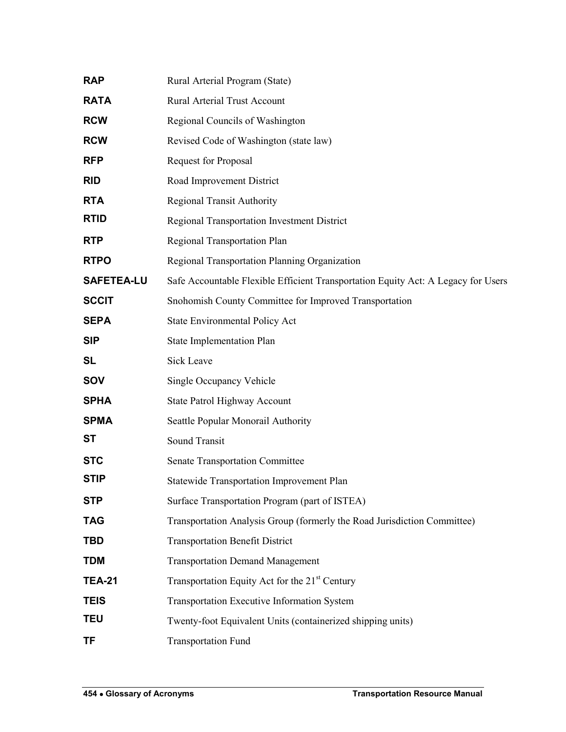| <b>RAP</b>        | Rural Arterial Program (State)                                                    |
|-------------------|-----------------------------------------------------------------------------------|
| <b>RATA</b>       | Rural Arterial Trust Account                                                      |
| <b>RCW</b>        | Regional Councils of Washington                                                   |
| <b>RCW</b>        | Revised Code of Washington (state law)                                            |
| <b>RFP</b>        | <b>Request for Proposal</b>                                                       |
| <b>RID</b>        | Road Improvement District                                                         |
| <b>RTA</b>        | <b>Regional Transit Authority</b>                                                 |
| <b>RTID</b>       | <b>Regional Transportation Investment District</b>                                |
| <b>RTP</b>        | Regional Transportation Plan                                                      |
| <b>RTPO</b>       | Regional Transportation Planning Organization                                     |
| <b>SAFETEA-LU</b> | Safe Accountable Flexible Efficient Transportation Equity Act: A Legacy for Users |
| <b>SCCIT</b>      | Snohomish County Committee for Improved Transportation                            |
| <b>SEPA</b>       | State Environmental Policy Act                                                    |
| <b>SIP</b>        | <b>State Implementation Plan</b>                                                  |
| <b>SL</b>         | <b>Sick Leave</b>                                                                 |
| <b>SOV</b>        | Single Occupancy Vehicle                                                          |
| <b>SPHA</b>       | State Patrol Highway Account                                                      |
| <b>SPMA</b>       | Seattle Popular Monorail Authority                                                |
| ST                | <b>Sound Transit</b>                                                              |
| <b>STC</b>        | <b>Senate Transportation Committee</b>                                            |
| <b>STIP</b>       | <b>Statewide Transportation Improvement Plan</b>                                  |
| <b>STP</b>        | Surface Transportation Program (part of ISTEA)                                    |
| <b>TAG</b>        | Transportation Analysis Group (formerly the Road Jurisdiction Committee)          |
| <b>TBD</b>        | <b>Transportation Benefit District</b>                                            |
| <b>TDM</b>        | <b>Transportation Demand Management</b>                                           |
| <b>TEA-21</b>     | Transportation Equity Act for the 21 <sup>st</sup> Century                        |
| <b>TEIS</b>       | Transportation Executive Information System                                       |
| <b>TEU</b>        | Twenty-foot Equivalent Units (containerized shipping units)                       |
| <b>TF</b>         | <b>Transportation Fund</b>                                                        |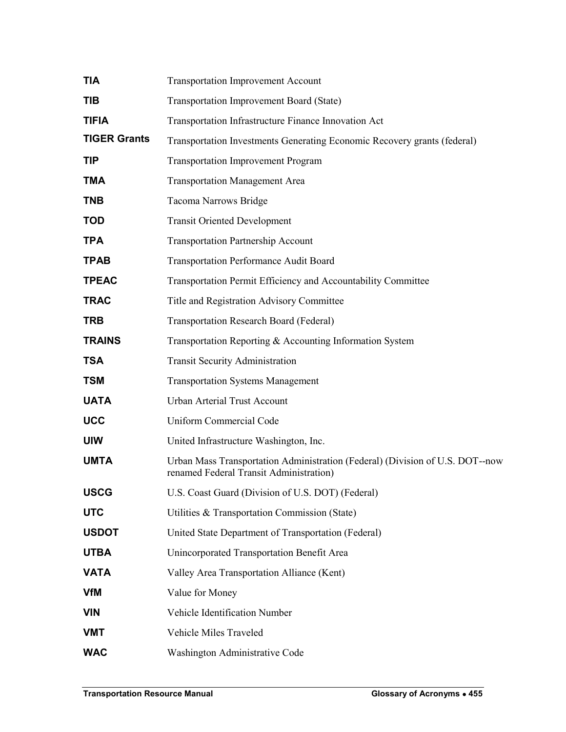| TIA                 | <b>Transportation Improvement Account</b>                                                                                |
|---------------------|--------------------------------------------------------------------------------------------------------------------------|
| TIB                 | <b>Transportation Improvement Board (State)</b>                                                                          |
| <b>TIFIA</b>        | Transportation Infrastructure Finance Innovation Act                                                                     |
| <b>TIGER Grants</b> | Transportation Investments Generating Economic Recovery grants (federal)                                                 |
| <b>TIP</b>          | <b>Transportation Improvement Program</b>                                                                                |
| <b>TMA</b>          | <b>Transportation Management Area</b>                                                                                    |
| <b>TNB</b>          | Tacoma Narrows Bridge                                                                                                    |
| <b>TOD</b>          | <b>Transit Oriented Development</b>                                                                                      |
| <b>TPA</b>          | <b>Transportation Partnership Account</b>                                                                                |
| <b>TPAB</b>         | <b>Transportation Performance Audit Board</b>                                                                            |
| <b>TPEAC</b>        | Transportation Permit Efficiency and Accountability Committee                                                            |
| <b>TRAC</b>         | Title and Registration Advisory Committee                                                                                |
| <b>TRB</b>          | <b>Transportation Research Board (Federal)</b>                                                                           |
| <b>TRAINS</b>       | Transportation Reporting & Accounting Information System                                                                 |
| <b>TSA</b>          | <b>Transit Security Administration</b>                                                                                   |
| <b>TSM</b>          | <b>Transportation Systems Management</b>                                                                                 |
| <b>UATA</b>         | Urban Arterial Trust Account                                                                                             |
| <b>UCC</b>          | Uniform Commercial Code                                                                                                  |
| <b>UIW</b>          | United Infrastructure Washington, Inc.                                                                                   |
| <b>UMTA</b>         | Urban Mass Transportation Administration (Federal) (Division of U.S. DOT--now<br>renamed Federal Transit Administration) |
| <b>USCG</b>         | U.S. Coast Guard (Division of U.S. DOT) (Federal)                                                                        |
| <b>UTC</b>          | Utilities & Transportation Commission (State)                                                                            |
| <b>USDOT</b>        | United State Department of Transportation (Federal)                                                                      |
| <b>UTBA</b>         | Unincorporated Transportation Benefit Area                                                                               |
| <b>VATA</b>         | Valley Area Transportation Alliance (Kent)                                                                               |
| <b>VfM</b>          | Value for Money                                                                                                          |
| <b>VIN</b>          | Vehicle Identification Number                                                                                            |
| <b>VMT</b>          | Vehicle Miles Traveled                                                                                                   |
| <b>WAC</b>          | Washington Administrative Code                                                                                           |
|                     |                                                                                                                          |